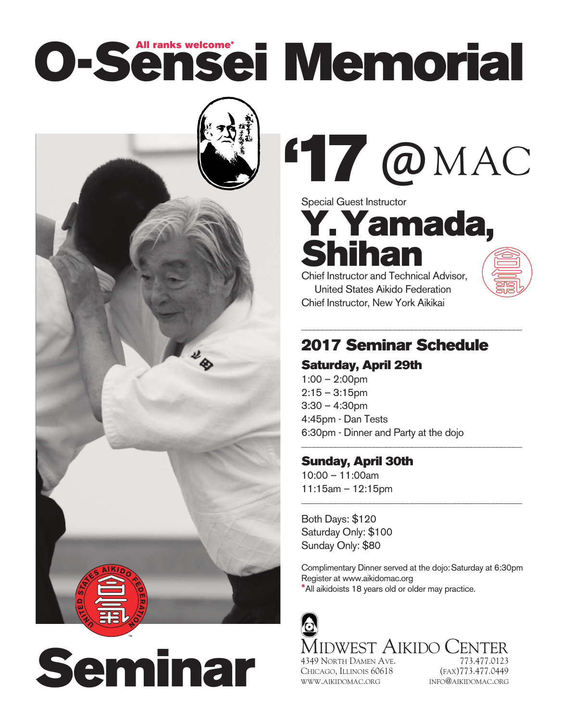# **O-Sensei Memorial All ranks welcome\***



**Seminar**

**17**@MAC **'**

Special Guest Instructor

**Y.Yamada, Shihan**

Chief Instructor and Technical Advisor, United States Aikido Federation Chief Instructor, New York Aikikai

### **2017 Seminar Schedule**

\_\_\_\_\_\_\_\_\_\_\_\_\_\_\_\_\_\_\_\_\_\_\_\_\_\_\_\_\_\_\_\_\_\_\_\_\_\_\_\_\_\_\_\_\_\_\_\_\_\_\_\_

\_\_\_\_\_\_\_\_\_\_\_\_\_\_\_\_\_\_\_\_\_\_\_\_\_\_\_\_\_\_\_\_\_\_\_\_\_\_\_\_\_\_\_\_\_\_\_\_\_\_\_\_

\_\_\_\_\_\_\_\_\_\_\_\_\_\_\_\_\_\_\_\_\_\_\_\_\_\_\_\_\_\_\_\_\_\_\_\_\_\_\_\_\_\_\_\_\_\_\_\_\_\_\_\_

#### **Saturday, April 29th**

1:00 – 2:00pm  $2:15 - 3:15$ pm 3:30 – 4:30pm 4:45pm - Dan Tests 6:30pm - Dinner and Party at the dojo

#### **Sunday, April 30th**

10:00 – 11:00am 11:15am – 12:15pm

Both Days: \$120 Saturday Only: \$100 Sunday Only: \$80

Complimentary Dinner served at the dojo:Saturday at 6:30pm Register at www.aikidomac.org **\***All aikidoists 18 years old or older may practice.



CHICAGO, ILLINOIS 60618 (FAX)773.477.0449 WWW.AIKIDOMAC.ORG INFO@AIKIDOMAC.ORG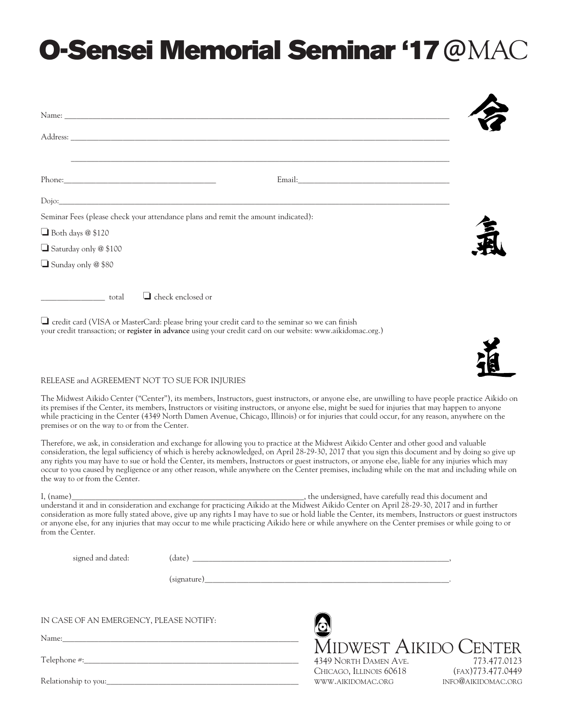## **O-Sensei Memorial Seminar '17**@MAC

| Email: Email: The Company of the Company of the Company of the Company of the Company of the Company of the Company of the Company of the Company of the Company of the Company of the Company of the Company of the Company o                                                                                                                                                                                                                                                                                                                                                                                                          |                                    |
|-----------------------------------------------------------------------------------------------------------------------------------------------------------------------------------------------------------------------------------------------------------------------------------------------------------------------------------------------------------------------------------------------------------------------------------------------------------------------------------------------------------------------------------------------------------------------------------------------------------------------------------------|------------------------------------|
| Dojo: and the contract of the contract of the contract of the contract of the contract of the contract of the contract of the contract of the contract of the contract of the contract of the contract of the contract of the                                                                                                                                                                                                                                                                                                                                                                                                           |                                    |
| Seminar Fees (please check your attendance plans and remit the amount indicated):<br>$\Box$ Both days $@$ \$120                                                                                                                                                                                                                                                                                                                                                                                                                                                                                                                         |                                    |
| $\Box$ Saturday only @ \$100                                                                                                                                                                                                                                                                                                                                                                                                                                                                                                                                                                                                            |                                    |
| $\Box$ Sunday only @ \$80                                                                                                                                                                                                                                                                                                                                                                                                                                                                                                                                                                                                               |                                    |
| $\Box$ check enclosed or<br>__________________________ total                                                                                                                                                                                                                                                                                                                                                                                                                                                                                                                                                                            |                                    |
| $\Box$ credit card (VISA or MasterCard: please bring your credit card to the seminar so we can finish<br>your credit transaction; or register in advance using your credit card on our website: www.aikidomac.org.)                                                                                                                                                                                                                                                                                                                                                                                                                     |                                    |
|                                                                                                                                                                                                                                                                                                                                                                                                                                                                                                                                                                                                                                         |                                    |
| RELEASE and AGREEMENT NOT TO SUE FOR INJURIES                                                                                                                                                                                                                                                                                                                                                                                                                                                                                                                                                                                           |                                    |
| The Midwest Aikido Center ("Center"), its members, Instructors, guest instructors, or anyone else, are unwilling to have people practice Aikido on<br>its premises if the Center, its members, Instructors or visiting instructors, or anyone else, might be sued for injuries that may happen to anyone<br>while practicing in the Center (4349 North Damen Avenue, Chicago, Illinois) or for injuries that could occur, for any reason, anywhere on the<br>premises or on the way to or from the Center.                                                                                                                              |                                    |
| Therefore, we ask, in consideration and exchange for allowing you to practice at the Midwest Aikido Center and other good and valuable<br>consideration, the legal sufficiency of which is hereby acknowledged, on April 28-29-30, 2017 that you sign this document and by doing so give up<br>any rights you may have to sue or hold the Center, its members, Instructors or guest instructors, or anyone else, liable for any injuries which may<br>occur to you caused by negligence or any other reason, while anywhere on the Center premises, including while on the mat and including while on<br>the way to or from the Center. |                                    |
| I, (name)<br>understand it and in consideration and exchange for practicing Aikido at the Midwest Aikido Center on April 28-29-30, 2017 and in further<br>In The state to the cause hold liable the Center, its members, Instructors<br>consideration as more fully stated above, give up any rights I may have to sue or hold liable the Center, its members, Instructors or guest instructors<br>or anyone else, for any injuries that may occur to me while practicing Aikido here or while anywhere on the Center premises or while going to or<br>from the Center.                                                                 |                                    |
| $\qquad \qquad (date) \qquad \qquad \qquad \qquad \qquad \qquad \qquad \qquad \textbf{1} \qquad \qquad \textbf{2} \qquad \textbf{3} \qquad \textbf{4} \qquad \textbf{5} \qquad \textbf{6} \qquad \textbf{6} \qquad \textbf{7} \qquad \textbf{8} \qquad \textbf{9} \qquad \textbf{1} \qquad \textbf{1} \qquad \textbf{1} \qquad \textbf{1} \qquad \textbf{1} \qquad \textbf{1} \qquad \textbf{1} \qquad \textbf{1} \qquad \textbf{1} \qquad \textbf{1} \qquad \textbf{$<br>signed and dated:                                                                                                                                             |                                    |
|                                                                                                                                                                                                                                                                                                                                                                                                                                                                                                                                                                                                                                         |                                    |
|                                                                                                                                                                                                                                                                                                                                                                                                                                                                                                                                                                                                                                         |                                    |
| IN CASE OF AN EMERGENCY, PLEASE NOTIFY:                                                                                                                                                                                                                                                                                                                                                                                                                                                                                                                                                                                                 |                                    |
| Name: Name and the second state of the second state of the second state of the second state of the second state of the second state of the second state of the second state of the second state of the second state of the sec                                                                                                                                                                                                                                                                                                                                                                                                          | MIDWEST AIKIDO CENTER              |
|                                                                                                                                                                                                                                                                                                                                                                                                                                                                                                                                                                                                                                         | 4349 NORTH DAMEN AVE. 773.477.0123 |

4349 NORTH DAMEN AVE. 773.477.0123 CHICAGO, ILLINOIS 60618 (FAX)773.477.0449 WWW.AIKIDOMAC.ORG INFO@AIKIDOMAC.ORG

Relationship to you:\_\_\_\_\_\_\_\_\_\_\_\_\_\_\_\_\_\_\_\_\_\_\_\_\_\_\_\_\_\_\_\_\_\_\_\_\_\_\_\_\_\_\_\_\_\_\_\_